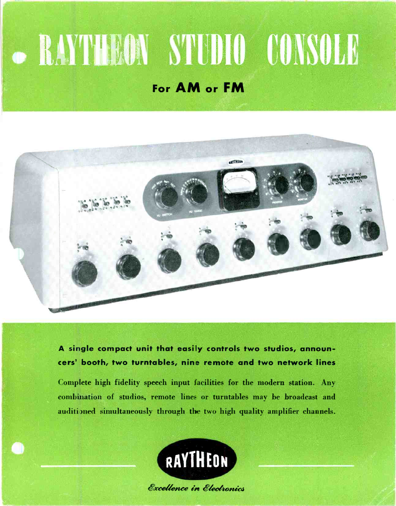# **• RAYTHEON STUDIO CONSOLE**

### For AM or FM



A single compact unit that easily controls two studios, announcers' booth, two turntables, nine remote and two network lines

Complete high fidelity speech input facilities for the modern station. Any combination of studios, remote lines or turntables may be broadcast and auditioned simultaneously through the two high quality amplifier channels.

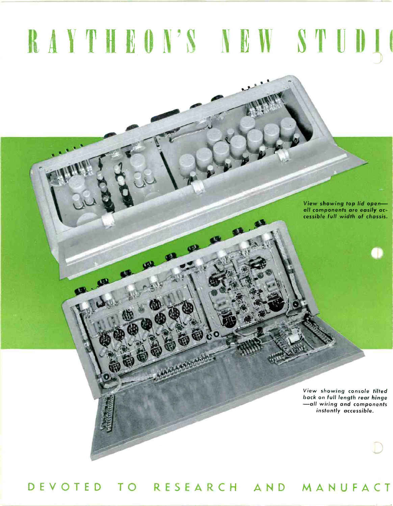## RAYTHEON'S NEW STUDIO

er

View showing top lid openall components are easily accessible full width of chassis.

View showing console tilted -all wiring and components instantly accessible.

DEVOTED TO RESEARCH AND MANUFACT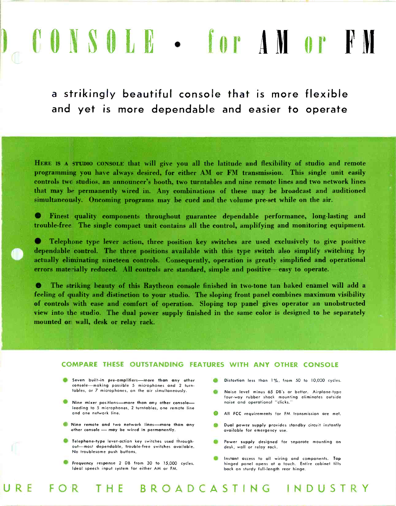## CONSOLE - tor ABOP

<sup>a</sup>strikingly beautiful console that is more flexible and yet is more dependable and easier to operate

HERE IS A STUDIO CONSOLE that will give you all the latitude and flexibility of studio and remote programming you have always desired, for either AM or FM transmission. This single unit easily controls twc studios, an announcer's booth, two turntables and nine remote lines and two network lines that may be permanently wired in. Any combinations of these may be broadcast and auditioned simultaneously. Oncoming programs may be cued and the volume pre-set while on the air.

Finest quality components throughout guarantee dependable performance, long-lasting and trouble -free. The single compact unit contains all the control, amplifying and monitoring equipment.

Telephone type lever action, three position key switches are used exclusively to give positive dependable control. The three positions available with this type switch also simplify switching by actually eliminating nineteen controls. Consequently, operation is greatly simplified and operational errors materially reduced. All controls are standard, simple and positive-easy to operate.

The striking beauty of this Raytheon console finished in two-tone tan baked enamel will add a feeling of quality and distinction to your studio. The sloping front panel combines maximum visibility of controls with ease and comfort of operation. Sloping top panel gives operator an unobstructed view into the studio. The dual power supply finished in the same color is designed to be separately mounted or wall, desk or relay rack.

#### COMPARE THESE, OUTSTANDING FEATURES WITH ANY OTHER CONSOLE

URE FOR THE BROADCASTING INDUSTRY

- Seven built-in pre-amplifiers-more than any other console-making possible 5 microphones and 2 turntables, or 7 microphones, on the air simultaneously.
- Nine mixer positions-more than any other consoleleading to 5 microphones, 2 turntables, one remote line and one network line.
- Nine remote and two network lines—more than any<br>other console may be wired in permanently.
- **C** Telephone-type lever-action key switches used throughout-most dependable, trouble -free switches available. No troublesome push buttons.
- Frequency response 2 DB from 30 to 15,000 cycles. Ideal speech input system for either AM or FM.
- Distortion less than 1%, from 50 to 10,000 cycles.
- $\bullet$ Noise level minus 65 DB's or better. Airplane -type four-way rubber shock mounting eliminates outside noise and operational "clicks."
- All FCC requirements for FM transmission are met.
- Dual power supply provides standby circuit instantly available for emergency use.
- Power supply designed for separate mounting on desk, wall or relay rack.
- **6** Instant access to all wiring and components. Top hinged panel opens at a touch. Entire cabinet tilts back on sturdy full-length rear hinge.